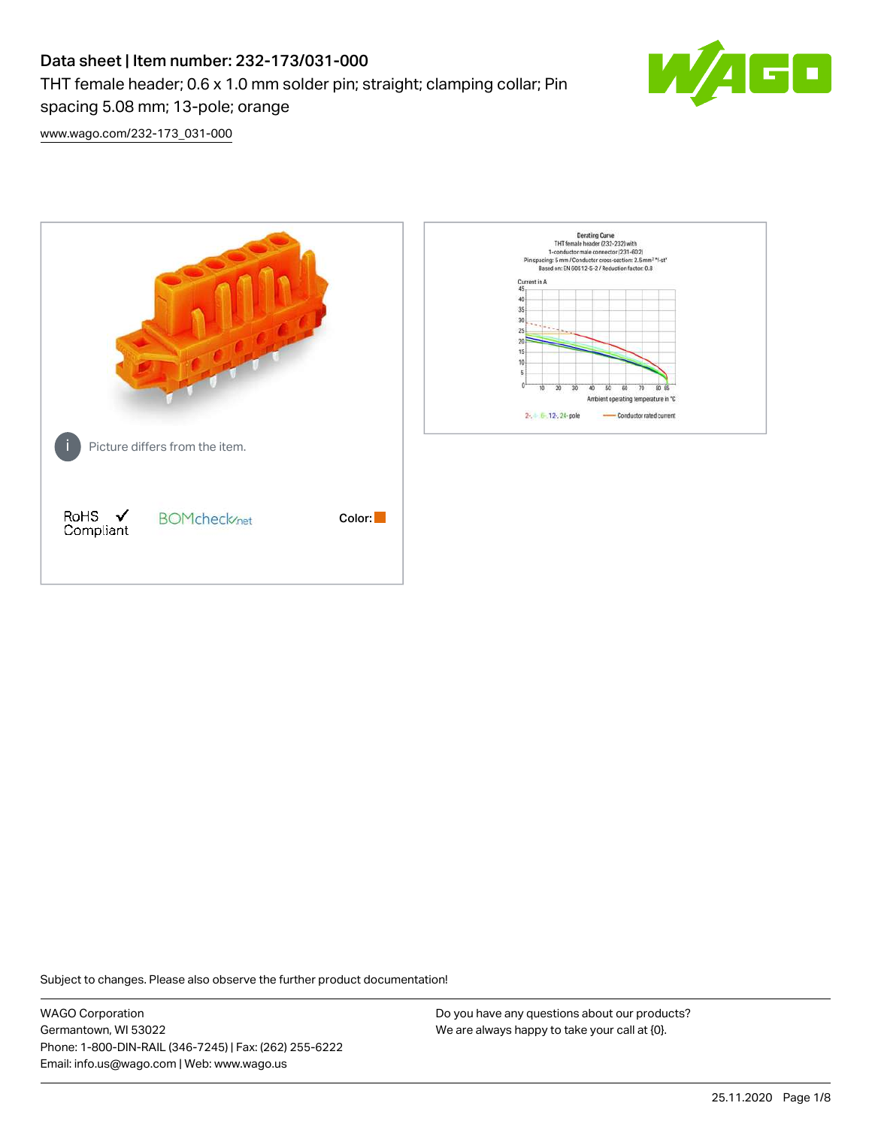# Data sheet | Item number: 232-173/031-000 THT female header; 0.6 x 1.0 mm solder pin; straight; clamping collar; Pin spacing 5.08 mm; 13-pole; orange



[www.wago.com/232-173\\_031-000](http://www.wago.com/232-173_031-000)



Subject to changes. Please also observe the further product documentation!

WAGO Corporation Germantown, WI 53022 Phone: 1-800-DIN-RAIL (346-7245) | Fax: (262) 255-6222 Email: info.us@wago.com | Web: www.wago.us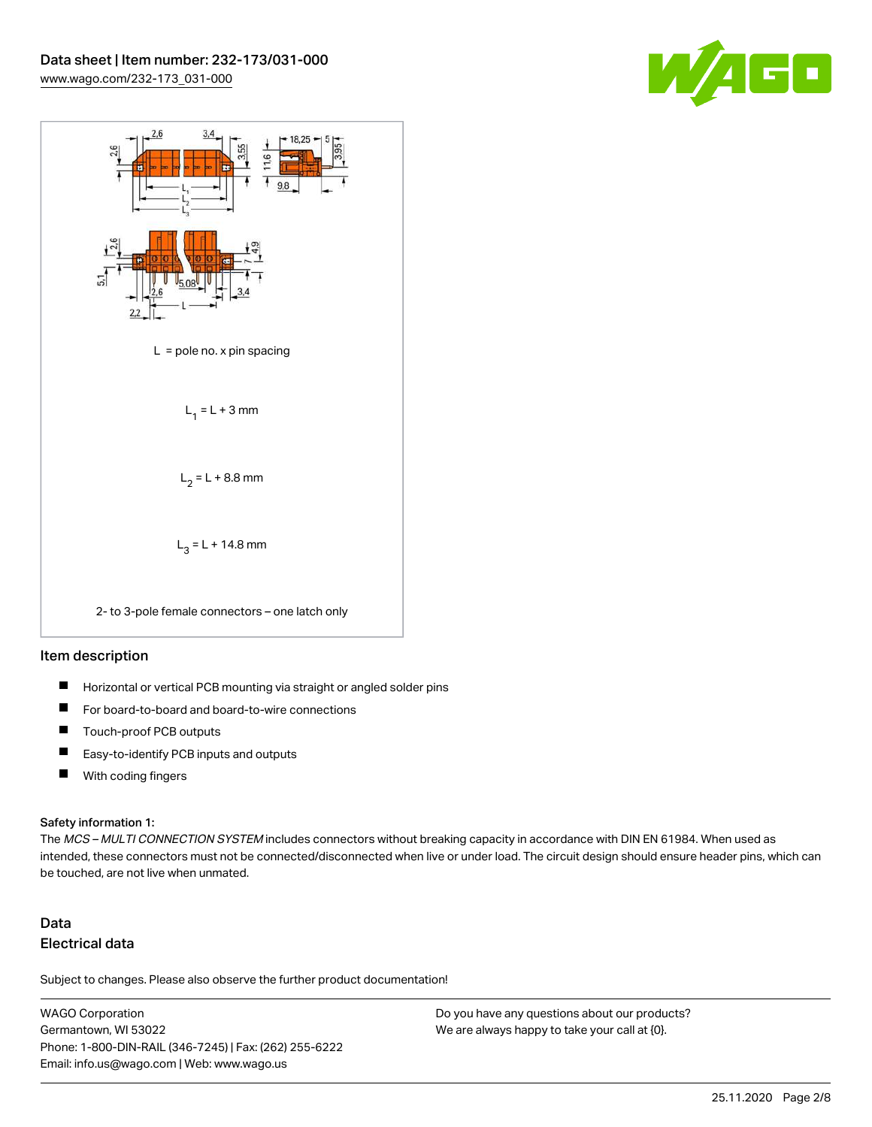



#### Item description

- $\blacksquare$ Horizontal or vertical PCB mounting via straight or angled solder pins
- П For board-to-board and board-to-wire connections
- $\blacksquare$ Touch-proof PCB outputs
- $\blacksquare$ Easy-to-identify PCB inputs and outputs
- $\blacksquare$ With coding fingers

#### Safety information 1:

The MCS - MULTI CONNECTION SYSTEM includes connectors without breaking capacity in accordance with DIN EN 61984. When used as intended, these connectors must not be connected/disconnected when live or under load. The circuit design should ensure header pins, which can be touched, are not live when unmated.

## Data Electrical data

Subject to changes. Please also observe the further product documentation!

WAGO Corporation Germantown, WI 53022 Phone: 1-800-DIN-RAIL (346-7245) | Fax: (262) 255-6222 Email: info.us@wago.com | Web: www.wago.us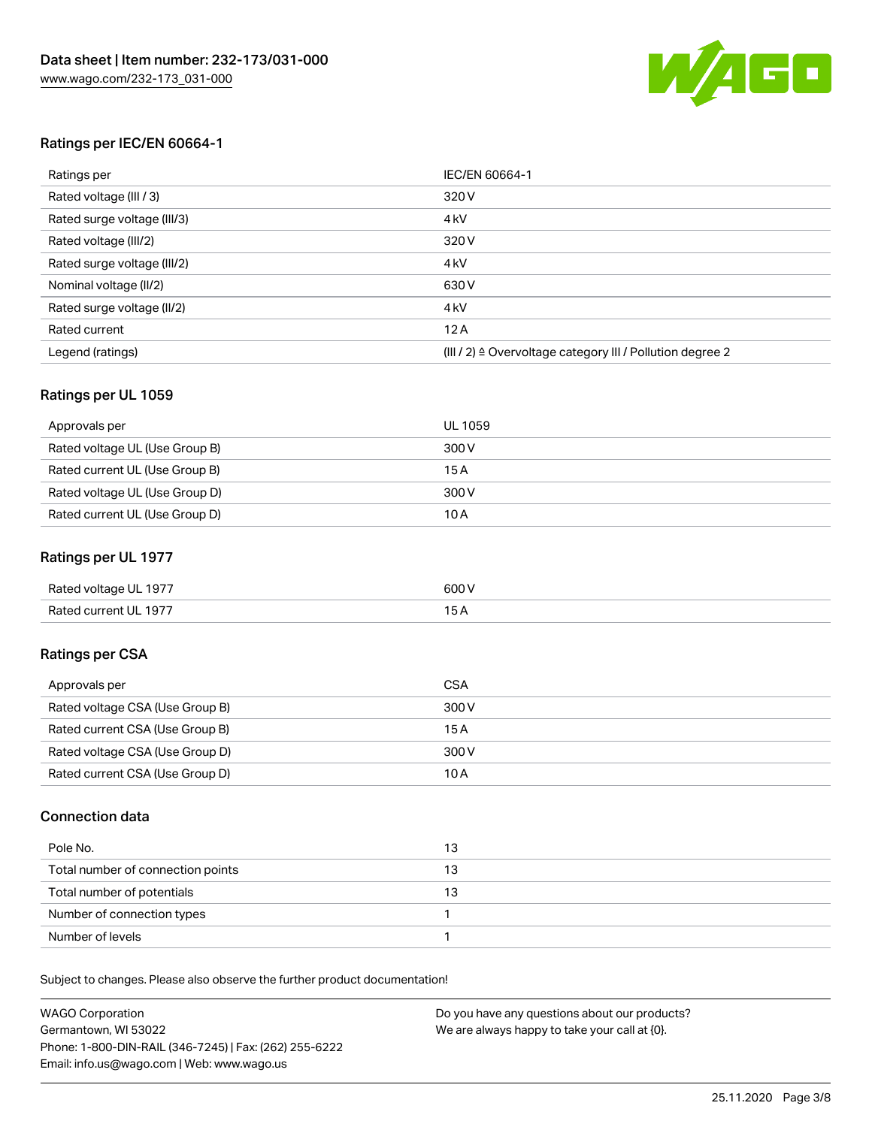

### Ratings per IEC/EN 60664-1

| Ratings per                 | IEC/EN 60664-1                                                        |
|-----------------------------|-----------------------------------------------------------------------|
| Rated voltage (III / 3)     | 320 V                                                                 |
| Rated surge voltage (III/3) | 4 <sub>k</sub> V                                                      |
| Rated voltage (III/2)       | 320 V                                                                 |
| Rated surge voltage (III/2) | 4 <sub>k</sub> V                                                      |
| Nominal voltage (II/2)      | 630 V                                                                 |
| Rated surge voltage (II/2)  | 4 <sub>k</sub> V                                                      |
| Rated current               | 12A                                                                   |
| Legend (ratings)            | $(III / 2)$ $\triangle$ Overvoltage category III / Pollution degree 2 |

### Ratings per UL 1059

| Approvals per                  | UL 1059 |
|--------------------------------|---------|
| Rated voltage UL (Use Group B) | 300 V   |
| Rated current UL (Use Group B) | 15 A    |
| Rated voltage UL (Use Group D) | 300 V   |
| Rated current UL (Use Group D) | 10A     |

### Ratings per UL 1977

| Rated voltage UL 1977 | 600 <sup>V</sup><br>. |
|-----------------------|-----------------------|
| Rated current UL 1977 |                       |

## Ratings per CSA

| Approvals per                   | CSA   |
|---------------------------------|-------|
| Rated voltage CSA (Use Group B) | 300 V |
| Rated current CSA (Use Group B) | 15 A  |
| Rated voltage CSA (Use Group D) | 300 V |
| Rated current CSA (Use Group D) | 10 A  |

### Connection data

| Pole No.                          | 13 |
|-----------------------------------|----|
| Total number of connection points | 13 |
| Total number of potentials        | 13 |
| Number of connection types        |    |
| Number of levels                  |    |

Subject to changes. Please also observe the further product documentation!

| <b>WAGO Corporation</b>                                | Do you have any questions about our products? |
|--------------------------------------------------------|-----------------------------------------------|
| Germantown, WI 53022                                   | We are always happy to take your call at {0}. |
| Phone: 1-800-DIN-RAIL (346-7245)   Fax: (262) 255-6222 |                                               |
| Email: info.us@wago.com   Web: www.wago.us             |                                               |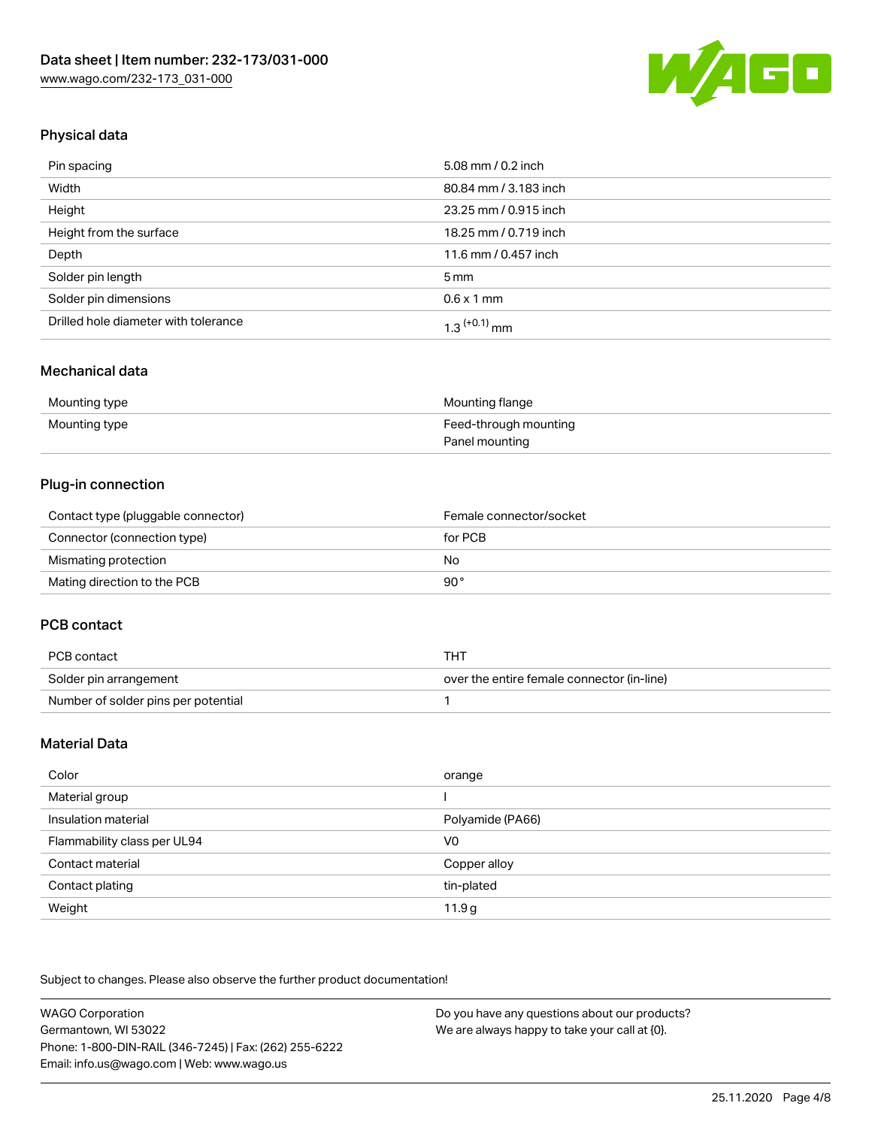

## Physical data

| Pin spacing                          | 5.08 mm / 0.2 inch    |
|--------------------------------------|-----------------------|
| Width                                | 80.84 mm / 3.183 inch |
| Height                               | 23.25 mm / 0.915 inch |
| Height from the surface              | 18.25 mm / 0.719 inch |
| Depth                                | 11.6 mm / 0.457 inch  |
| Solder pin length                    | $5 \,\mathrm{mm}$     |
| Solder pin dimensions                | $0.6 \times 1$ mm     |
| Drilled hole diameter with tolerance | $1.3$ $(+0.1)$ mm     |

## Mechanical data

| Mounting type | Mounting flange       |
|---------------|-----------------------|
| Mounting type | Feed-through mounting |
|               | Panel mounting        |

## Plug-in connection

| Contact type (pluggable connector) | Female connector/socket |
|------------------------------------|-------------------------|
| Connector (connection type)        | for PCB                 |
| Mismating protection               | No                      |
| Mating direction to the PCB        | 90°                     |

### PCB contact

| PCB contact                         | THT                                        |
|-------------------------------------|--------------------------------------------|
| Solder pin arrangement              | over the entire female connector (in-line) |
| Number of solder pins per potential |                                            |

## Material Data

| Color                       | orange            |
|-----------------------------|-------------------|
| Material group              |                   |
| Insulation material         | Polyamide (PA66)  |
| Flammability class per UL94 | V <sub>0</sub>    |
| Contact material            | Copper alloy      |
| Contact plating             | tin-plated        |
| Weight                      | 11.9 <sub>g</sub> |

Subject to changes. Please also observe the further product documentation!

| <b>WAGO Corporation</b>                                | Do you have any questions about our products? |
|--------------------------------------------------------|-----------------------------------------------|
| Germantown, WI 53022                                   | We are always happy to take your call at {0}. |
| Phone: 1-800-DIN-RAIL (346-7245)   Fax: (262) 255-6222 |                                               |
| Email: info.us@wago.com   Web: www.wago.us             |                                               |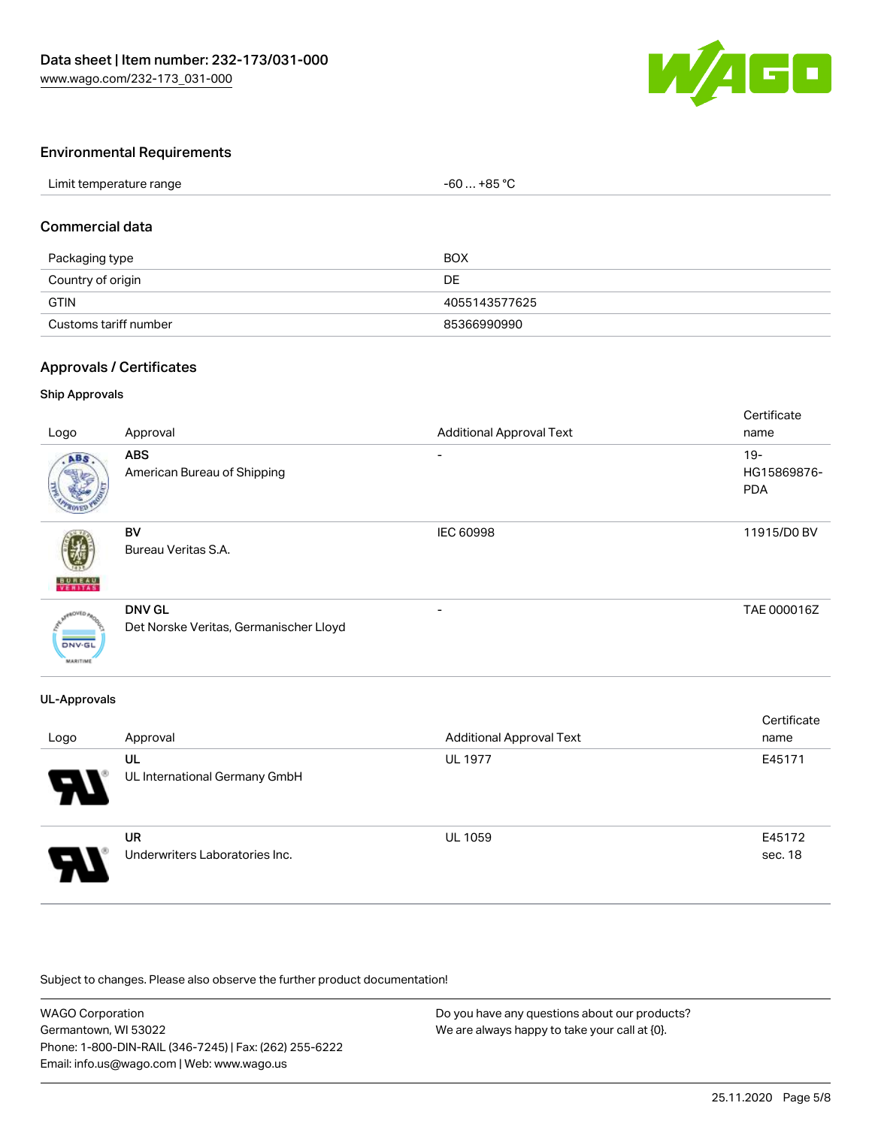

### Environmental Requirements

### Commercial data

| Packaging type        | <b>BOX</b>    |
|-----------------------|---------------|
| Country of origin     | DE            |
| <b>GTIN</b>           | 4055143577625 |
| Customs tariff number | 85366990990   |

### Approvals / Certificates

#### Ship Approvals

| Logo                             | Approval                                                | <b>Additional Approval Text</b> | Certificate<br>name                 |
|----------------------------------|---------------------------------------------------------|---------------------------------|-------------------------------------|
| ABS.                             | <b>ABS</b><br>American Bureau of Shipping               |                                 | $19 -$<br>HG15869876-<br><b>PDA</b> |
| <b>BUREAU</b>                    | BV<br>Bureau Veritas S.A.                               | IEC 60998                       | 11915/D0 BV                         |
| <b>DNV-GL</b><br><b>MARITIME</b> | <b>DNV GL</b><br>Det Norske Veritas, Germanischer Lloyd | -                               | TAE 000016Z                         |

#### UL-Approvals

| Logo | Approval                                    | <b>Additional Approval Text</b> | Certificate<br>name |
|------|---------------------------------------------|---------------------------------|---------------------|
| Э.   | UL<br>UL International Germany GmbH         | <b>UL 1977</b>                  | E45171              |
| 8    | <b>UR</b><br>Underwriters Laboratories Inc. | <b>UL 1059</b>                  | E45172<br>sec. 18   |

Subject to changes. Please also observe the further product documentation!

| <b>WAGO Corporation</b>                                | Do you have any questions about our products? |
|--------------------------------------------------------|-----------------------------------------------|
| Germantown, WI 53022                                   | We are always happy to take your call at {0}. |
| Phone: 1-800-DIN-RAIL (346-7245)   Fax: (262) 255-6222 |                                               |
| Email: info.us@wago.com   Web: www.wago.us             |                                               |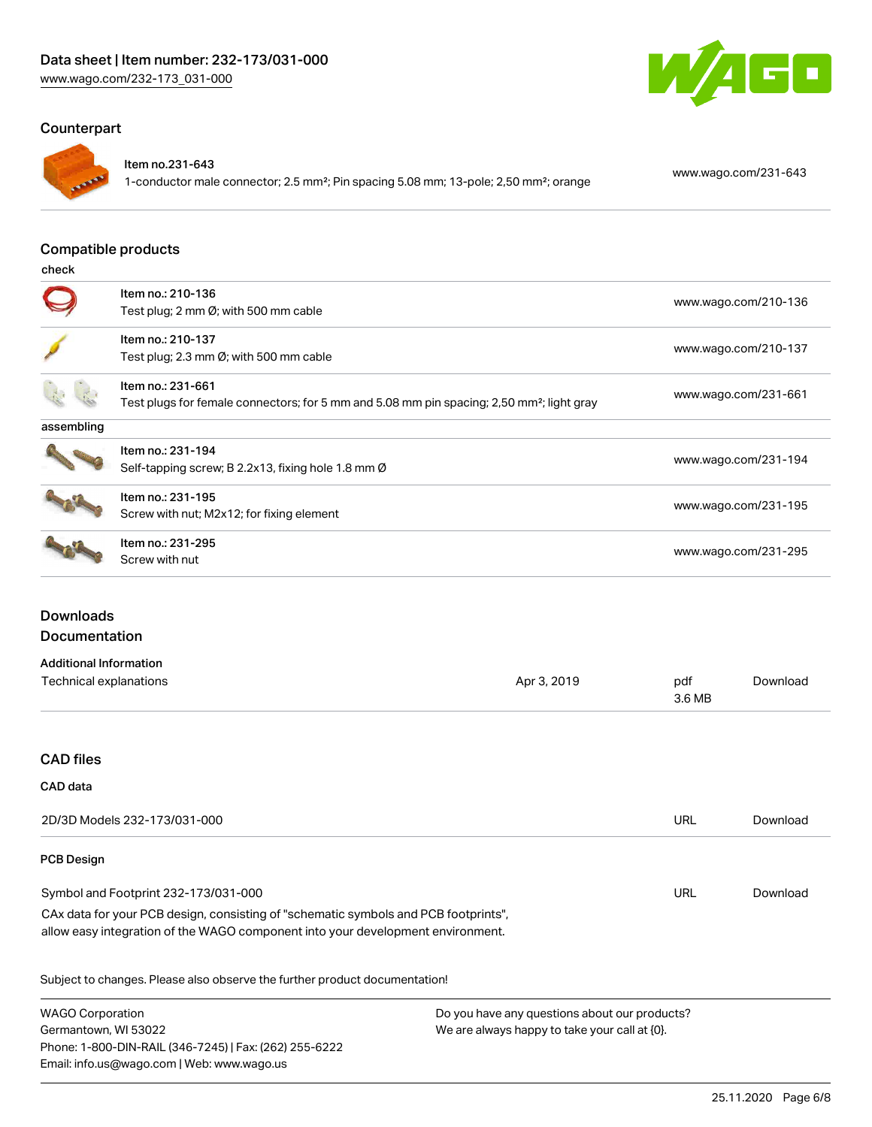## Counterpart



#### Item no.231-643

1-conductor male connector; 2.5 mm²; Pin spacing 5.08 mm; 13-pole; 2,50 mm²; orange [www.wago.com/231-643](https://www.wago.com/231-643)

GO

#### Compatible products

check

|            | Item no.: 210-136<br>Test plug; 2 mm $\emptyset$ ; with 500 mm cable                                                       | www.wago.com/210-136 |
|------------|----------------------------------------------------------------------------------------------------------------------------|----------------------|
|            | Item no.: 210-137<br>Test plug; 2.3 mm $\emptyset$ ; with 500 mm cable                                                     | www.wago.com/210-137 |
|            | Item no.: 231-661<br>Test plugs for female connectors; for 5 mm and 5.08 mm pin spacing; 2,50 mm <sup>2</sup> ; light gray | www.wago.com/231-661 |
| assembling |                                                                                                                            |                      |
|            | Item no.: 231-194<br>Self-tapping screw; B 2.2x13, fixing hole 1.8 mm Ø                                                    | www.wago.com/231-194 |
|            | Item no.: 231-195<br>Screw with nut; M2x12; for fixing element                                                             | www.wago.com/231-195 |
|            | Item no.: 231-295<br>Screw with nut                                                                                        | www.wago.com/231-295 |

## **Downloads** Documentation

| Additional Information |             |        |          |
|------------------------|-------------|--------|----------|
| Technical explanations | Apr 3, 2019 | pdf    | Download |
|                        |             | 3.6 MB |          |

## CAD files

#### CAD data

| 2D/3D Models 232-173/031-000                                                        | URL | Download |
|-------------------------------------------------------------------------------------|-----|----------|
| <b>PCB Design</b>                                                                   |     |          |
| Symbol and Footprint 232-173/031-000                                                | URL | Download |
| CAx data for your PCB design, consisting of "schematic symbols and PCB footprints", |     |          |
| allow easy integration of the WAGO component into your development environment.     |     |          |
| Subject to changes. Please also observe the further product documentation!          |     |          |

WAGO Corporation Germantown, WI 53022 Phone: 1-800-DIN-RAIL (346-7245) | Fax: (262) 255-6222 Email: info.us@wago.com | Web: www.wago.us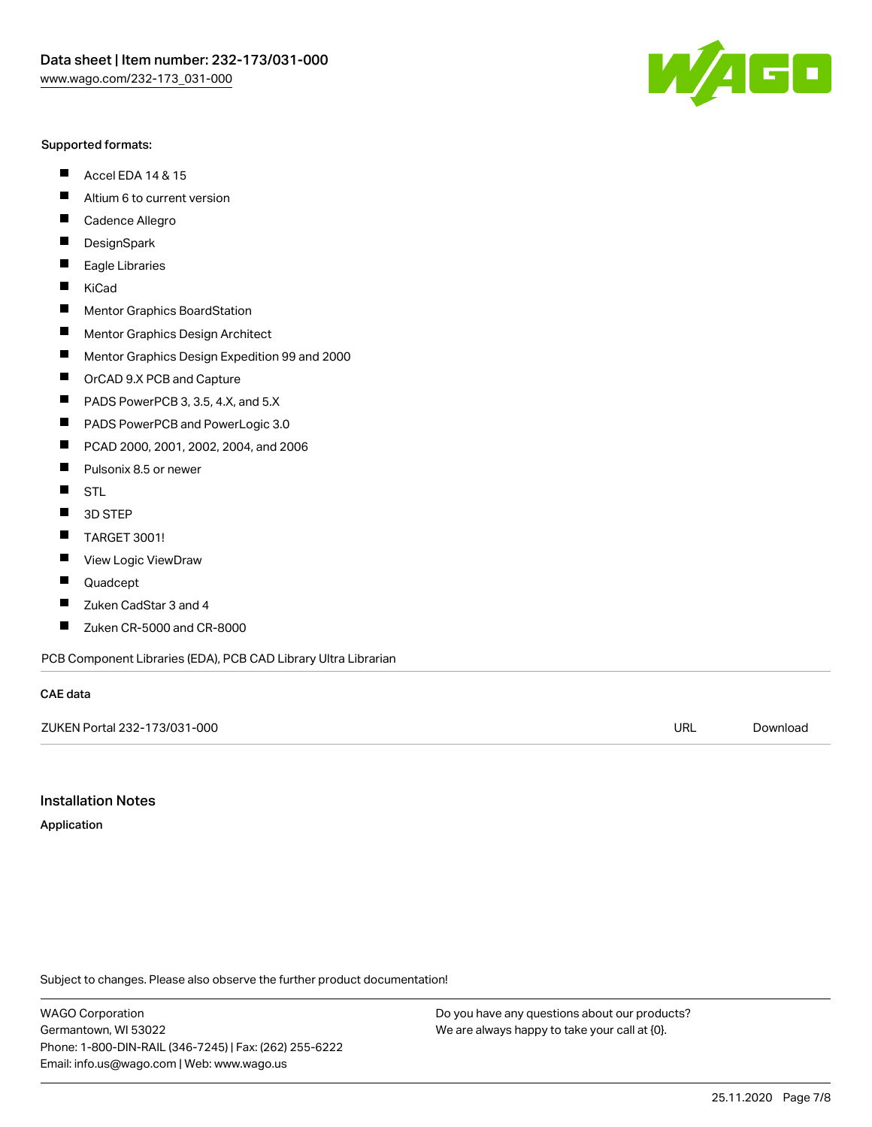#### Supported formats:

- $\blacksquare$ Accel EDA 14 & 15
- $\blacksquare$ Altium 6 to current version
- $\blacksquare$ Cadence Allegro
- $\blacksquare$ **DesignSpark**
- $\blacksquare$ Eagle Libraries
- $\blacksquare$ KiCad
- $\blacksquare$ Mentor Graphics BoardStation
- $\blacksquare$ Mentor Graphics Design Architect
- $\blacksquare$ Mentor Graphics Design Expedition 99 and 2000
- $\blacksquare$ OrCAD 9.X PCB and Capture
- $\blacksquare$ PADS PowerPCB 3, 3.5, 4.X, and 5.X
- $\blacksquare$ PADS PowerPCB and PowerLogic 3.0
- $\blacksquare$ PCAD 2000, 2001, 2002, 2004, and 2006
- $\blacksquare$ Pulsonix 8.5 or newer
- $\blacksquare$ STL
- 3D STEP П
- $\blacksquare$ TARGET 3001!
- $\blacksquare$ View Logic ViewDraw
- $\blacksquare$ Quadcept
- $\blacksquare$ Zuken CadStar 3 and 4
- Zuken CR-5000 and CR-8000 П

PCB Component Libraries (EDA), PCB CAD Library Ultra Librarian

#### CAE data

ZUKEN Portal 232-173/031-000 URL [Download](https://www.wago.com/us/d/Zuken_URLS_232-173_031-000)

Installation Notes

Application

Subject to changes. Please also observe the further product documentation!

WAGO Corporation Germantown, WI 53022 Phone: 1-800-DIN-RAIL (346-7245) | Fax: (262) 255-6222 Email: info.us@wago.com | Web: www.wago.us